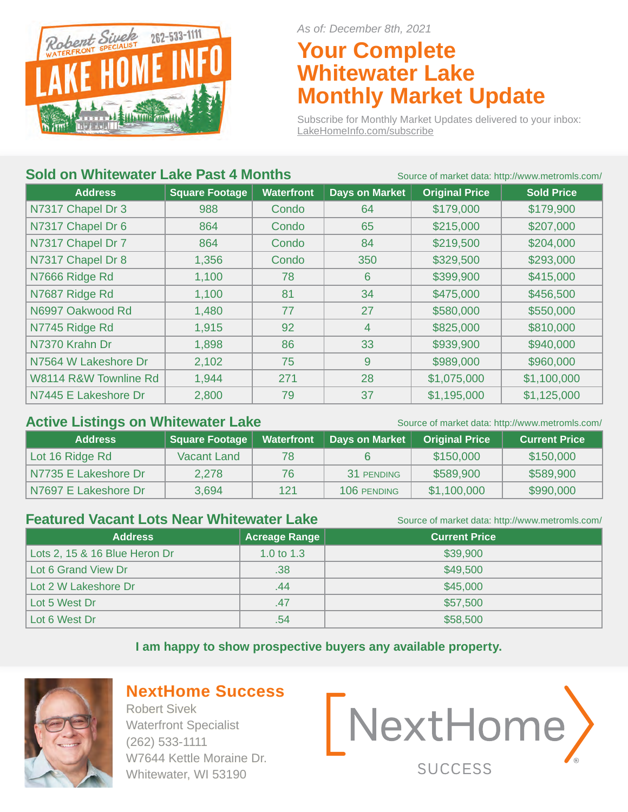

*As of: December 8th, 2021*

### **Your Complete Whitewater Lake Monthly Market Update**

Subscribe for Monthly Market Updates delivered to your inbox: LakeHomeInfo.com/subscribe

#### **Sold on Whitewater Lake Past 4 Months** Source of market data: http://www.metromls.com/

|                       |                       | <u>Obdited of manner data. Integit www.inchommo.com</u> |                       |                       |                   |
|-----------------------|-----------------------|---------------------------------------------------------|-----------------------|-----------------------|-------------------|
| <b>Address</b>        | <b>Square Footage</b> | <b>Waterfront</b>                                       | <b>Days on Market</b> | <b>Original Price</b> | <b>Sold Price</b> |
| N7317 Chapel Dr 3     | 988                   | Condo                                                   | 64                    | \$179,000             | \$179,900         |
| N7317 Chapel Dr 6     | 864                   | Condo                                                   | 65                    | \$215,000             | \$207,000         |
| N7317 Chapel Dr 7     | 864                   | Condo                                                   | 84                    | \$219,500             | \$204,000         |
| N7317 Chapel Dr 8     | 1,356                 | Condo                                                   | 350                   | \$329,500             | \$293,000         |
| N7666 Ridge Rd        | 1,100                 | 78                                                      | $6\phantom{1}6$       | \$399,900             | \$415,000         |
| N7687 Ridge Rd        | 1,100                 | 81                                                      | 34                    | \$475,000             | \$456,500         |
| N6997 Oakwood Rd      | 1,480                 | 77                                                      | 27                    | \$580,000             | \$550,000         |
| N7745 Ridge Rd        | 1,915                 | 92                                                      | 4                     | \$825,000             | \$810,000         |
| N7370 Krahn Dr        | 1,898                 | 86                                                      | 33                    | \$939,900             | \$940,000         |
| N7564 W Lakeshore Dr  | 2,102                 | 75                                                      | 9                     | \$989,000             | \$960,000         |
| W8114 R&W Townline Rd | 1,944                 | 271                                                     | 28                    | \$1,075,000           | \$1,100,000       |
| N7445 E Lakeshore Dr  | 2,800                 | 79                                                      | 37                    | \$1,195,000           | \$1,125,000       |

#### Active Listings on Whitewater Lake Source of market data: http://www.metromls.com/

| <b>Address</b>         | Square Footage | <b>Waterfront</b> | Days on Market | <b>Original Price</b> | <b>Current Price</b> |
|------------------------|----------------|-------------------|----------------|-----------------------|----------------------|
| Lot 16 Ridge Rd        | Vacant Land    | 78                |                | \$150,000             | \$150,000            |
| N7735 E Lakeshore Dr   | 2,278          | 76                | 31 PENDING     | \$589,900             | \$589,900            |
| l N7697 E Lakeshore Dr | 3,694          | 121               | 106 PENDING    | \$1,100,000           | \$990,000            |

#### **Featured Vacant Lots Near Whitewater Lake** Source of market data: http://www.metromls.com/

| <b>Address</b>                | Acreage Range | <b>Current Price</b> |
|-------------------------------|---------------|----------------------|
| Lots 2, 15 & 16 Blue Heron Dr | 1.0 to $1.3$  | \$39,900             |
| Lot 6 Grand View Dr           | .38           | \$49,500             |
| Lot 2 W Lakeshore Dr          | .44           | \$45,000             |
| Lot 5 West Dr                 | .47           | \$57,500             |
| Lot 6 West Dr                 | .54           | \$58,500             |

**I am happy to show prospective buyers any available property.** 



#### **NextHome Success**

Robert Sivek Waterfront Specialist (262) 533-1111 W7644 Kettle Moraine Dr. Whitewater, WI 53190